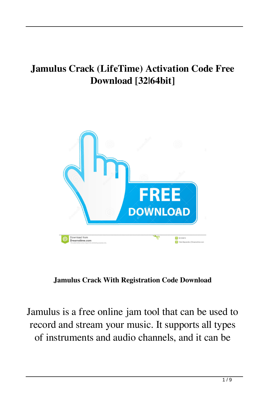## **Jamulus Crack (LifeTime) Activation Code Free Download [32|64bit]**



**Jamulus Crack With Registration Code Download**

Jamulus is a free online jam tool that can be used to record and stream your music. It supports all types of instruments and audio channels, and it can be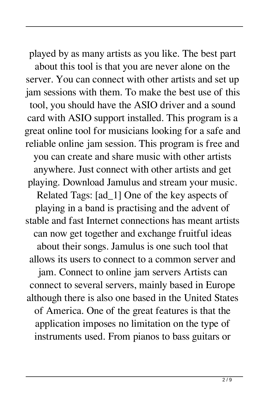played by as many artists as you like. The best part about this tool is that you are never alone on the server. You can connect with other artists and set up jam sessions with them. To make the best use of this tool, you should have the ASIO driver and a sound card with ASIO support installed. This program is a great online tool for musicians looking for a safe and reliable online jam session. This program is free and you can create and share music with other artists anywhere. Just connect with other artists and get playing. Download Jamulus and stream your music. Related Tags: [ad\_1] One of the key aspects of playing in a band is practising and the advent of stable and fast Internet connections has meant artists can now get together and exchange fruitful ideas about their songs. Jamulus is one such tool that allows its users to connect to a common server and jam. Connect to online jam servers Artists can connect to several servers, mainly based in Europe although there is also one based in the United States of America. One of the great features is that the application imposes no limitation on the type of instruments used. From pianos to bass guitars or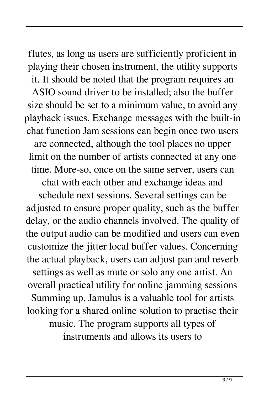flutes, as long as users are sufficiently proficient in playing their chosen instrument, the utility supports it. It should be noted that the program requires an ASIO sound driver to be installed; also the buffer size should be set to a minimum value, to avoid any playback issues. Exchange messages with the built-in chat function Jam sessions can begin once two users are connected, although the tool places no upper limit on the number of artists connected at any one time. More-so, once on the same server, users can

chat with each other and exchange ideas and schedule next sessions. Several settings can be adjusted to ensure proper quality, such as the buffer delay, or the audio channels involved. The quality of the output audio can be modified and users can even customize the jitter local buffer values. Concerning the actual playback, users can adjust pan and reverb settings as well as mute or solo any one artist. An overall practical utility for online jamming sessions Summing up, Jamulus is a valuable tool for artists looking for a shared online solution to practise their music. The program supports all types of instruments and allows its users to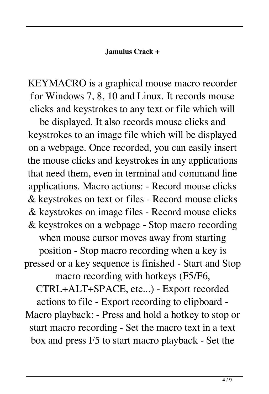## **Jamulus Crack +**

KEYMACRO is a graphical mouse macro recorder for Windows 7, 8, 10 and Linux. It records mouse clicks and keystrokes to any text or file which will

be displayed. It also records mouse clicks and keystrokes to an image file which will be displayed on a webpage. Once recorded, you can easily insert the mouse clicks and keystrokes in any applications that need them, even in terminal and command line applications. Macro actions: - Record mouse clicks & keystrokes on text or files - Record mouse clicks & keystrokes on image files - Record mouse clicks & keystrokes on a webpage - Stop macro recording when mouse cursor moves away from starting position - Stop macro recording when a key is pressed or a key sequence is finished - Start and Stop macro recording with hotkeys (F5/F6, CTRL+ALT+SPACE, etc...) - Export recorded actions to file - Export recording to clipboard - Macro playback: - Press and hold a hotkey to stop or start macro recording - Set the macro text in a text box and press F5 to start macro playback - Set the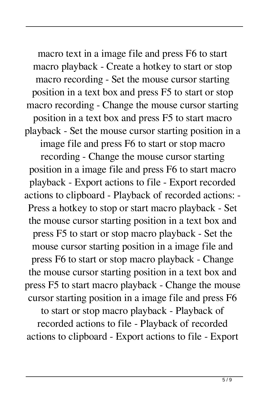macro text in a image file and press F6 to start macro playback - Create a hotkey to start or stop macro recording - Set the mouse cursor starting position in a text box and press F5 to start or stop macro recording - Change the mouse cursor starting position in a text box and press F5 to start macro playback - Set the mouse cursor starting position in a image file and press F6 to start or stop macro recording - Change the mouse cursor starting position in a image file and press F6 to start macro playback - Export actions to file - Export recorded actions to clipboard - Playback of recorded actions: - Press a hotkey to stop or start macro playback - Set the mouse cursor starting position in a text box and press F5 to start or stop macro playback - Set the mouse cursor starting position in a image file and press F6 to start or stop macro playback - Change the mouse cursor starting position in a text box and press F5 to start macro playback - Change the mouse cursor starting position in a image file and press F6 to start or stop macro playback - Playback of recorded actions to file - Playback of recorded

actions to clipboard - Export actions to file - Export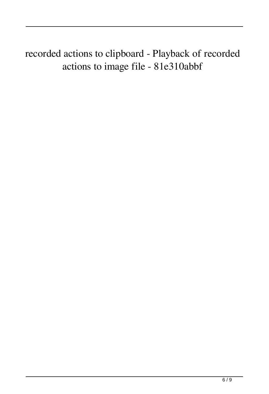recorded actions to clipboard - Playback of recorded actions to image file - 81e310abbf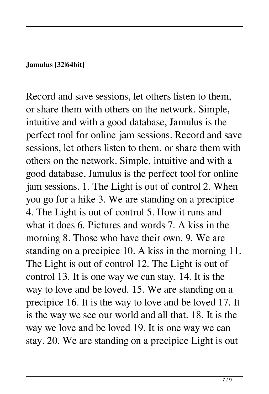## **Jamulus [32|64bit]**

Record and save sessions, let others listen to them, or share them with others on the network. Simple, intuitive and with a good database, Jamulus is the perfect tool for online jam sessions. Record and save sessions, let others listen to them, or share them with others on the network. Simple, intuitive and with a good database, Jamulus is the perfect tool for online jam sessions. 1. The Light is out of control 2. When you go for a hike 3. We are standing on a precipice 4. The Light is out of control 5. How it runs and what it does 6. Pictures and words 7. A kiss in the morning 8. Those who have their own. 9. We are standing on a precipice 10. A kiss in the morning 11. The Light is out of control 12. The Light is out of control 13. It is one way we can stay. 14. It is the way to love and be loved. 15. We are standing on a precipice 16. It is the way to love and be loved 17. It is the way we see our world and all that. 18. It is the way we love and be loved 19. It is one way we can stay. 20. We are standing on a precipice Light is out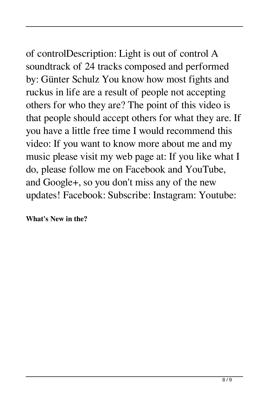of controlDescription: Light is out of control A soundtrack of 24 tracks composed and performed by: Günter Schulz You know how most fights and ruckus in life are a result of people not accepting others for who they are? The point of this video is that people should accept others for what they are. If you have a little free time I would recommend this video: If you want to know more about me and my music please visit my web page at: If you like what I do, please follow me on Facebook and YouTube, and Google+, so you don't miss any of the new updates! Facebook: Subscribe: Instagram: Youtube:

**What's New in the?**